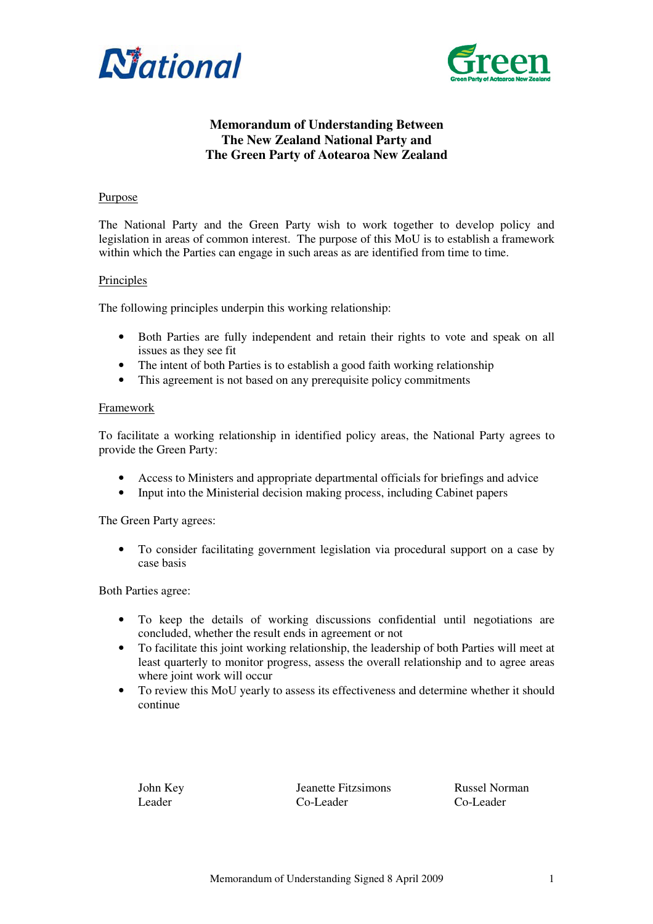



# **Memorandum of Understanding Between The New Zealand National Party and The Green Party of Aotearoa New Zealand**

#### Purpose

The National Party and the Green Party wish to work together to develop policy and legislation in areas of common interest. The purpose of this MoU is to establish a framework within which the Parties can engage in such areas as are identified from time to time.

#### **Principles**

The following principles underpin this working relationship:

- Both Parties are fully independent and retain their rights to vote and speak on all issues as they see fit
- The intent of both Parties is to establish a good faith working relationship
- This agreement is not based on any prerequisite policy commitments

#### Framework

To facilitate a working relationship in identified policy areas, the National Party agrees to provide the Green Party:

- Access to Ministers and appropriate departmental officials for briefings and advice
- Input into the Ministerial decision making process, including Cabinet papers

The Green Party agrees:

• To consider facilitating government legislation via procedural support on a case by case basis

Both Parties agree:

- To keep the details of working discussions confidential until negotiations are concluded, whether the result ends in agreement or not
- To facilitate this joint working relationship, the leadership of both Parties will meet at least quarterly to monitor progress, assess the overall relationship and to agree areas where joint work will occur
- To review this MoU yearly to assess its effectiveness and determine whether it should continue

John Key Jeanette Fitzsimons Russel Norman<br>Leader Co-Leader Co-Leader Co-Leader  $Co-I$  eader